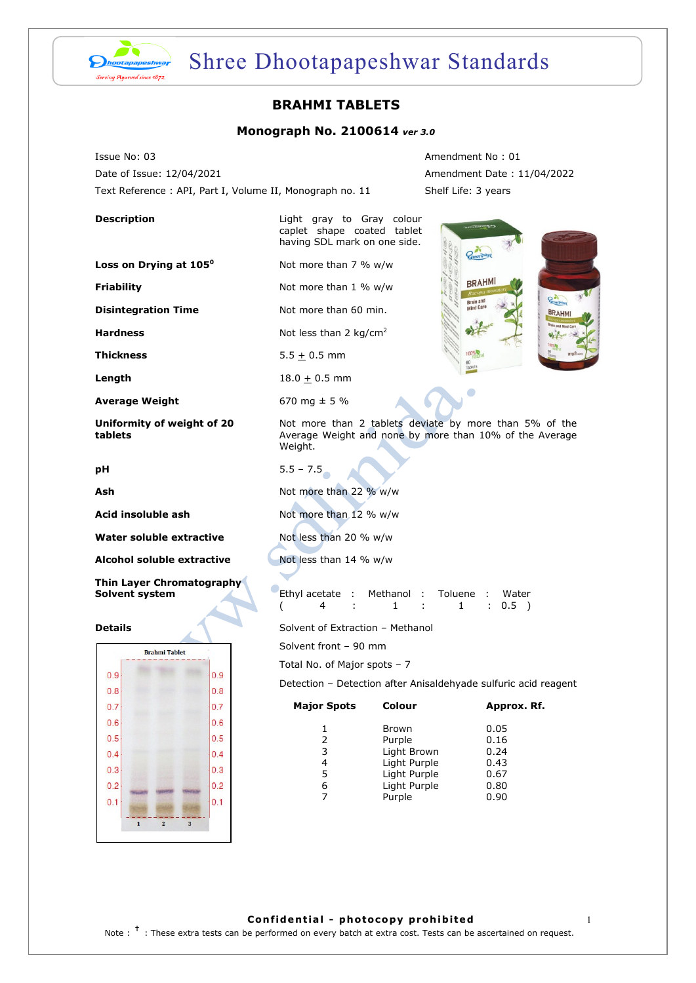

## Shree Dhootapapeshwar Standards

## **BRAHMI TABLETS**

### **Monograph No. 2100614** *ver 3.0*

Issue No: 03 **Amendment No : 01** Amendment No : 01 Date of Issue: 12/04/2021 Amendment Date : 11/04/2022 Text Reference : API, Part I, Volume II, Monograph no. 11 Shelf Life: 3 years

**Loss on Drying at 105<sup>°</sup> Not more than 7 % w/w** 

#### **Average Weight** 670 mg  $\pm$  5 %

**Uniformity of weight of 20 tablets**

| ł<br>۰. |  |
|---------|--|

**Water soluble extractive Motion Results** Not less than 20 % w/w

**Alcohol soluble extractive and Not less than 14 % w/w** 

**Thin Layer Chromatography Solvent system** 



**Description Light gray to Gray colour** caplet shape coated tablet having SDL mark on one side.

**Friability** Not more than 1 % w/w

**Disintegration Time Not more than 60 min.** 

**Hardness** Not less than 2 kg/cm<sup>2</sup>

**Thickness**  $5.5 \pm 0.5$  mm

**Length**  $18.0 \pm 0.5$  mm

**BRAHMI QAT BRAHM** 

Not more than 2 tablets deviate by more than 5% of the Average Weight and none by more than 10% of the Average Weight.

 $5.5 - 7.5$ 

**Ash** Not more than 22 % w/w

**Acid insoluble ash** Not more than 12 % w/w

|  | Ethyl acetate : Methanol : Toluene : Water |  |                    |
|--|--------------------------------------------|--|--------------------|
|  |                                            |  | $\therefore$ 0.5 ) |

**Details Details** Solvent of Extraction – Methanol

Solvent front – 90 mm

Total No. of Major spots – 7

Detection – Detection after Anisaldehyade sulfuric acid reagent

| Colour       | Approx. Rf. |  |  |
|--------------|-------------|--|--|
| Brown        | 0.05        |  |  |
| Purple       | 0.16        |  |  |
| Light Brown  | 0.24        |  |  |
| Light Purple | 0.43        |  |  |
| Light Purple | 0.67        |  |  |
| Light Purple | 0.80        |  |  |
| Purple       | 0.90        |  |  |
|              |             |  |  |

**Confidential - photocopy prohibited** 1 Note : <sup>†</sup> : These extra tests can be performed on every batch at extra cost. Tests can be ascertained on request.